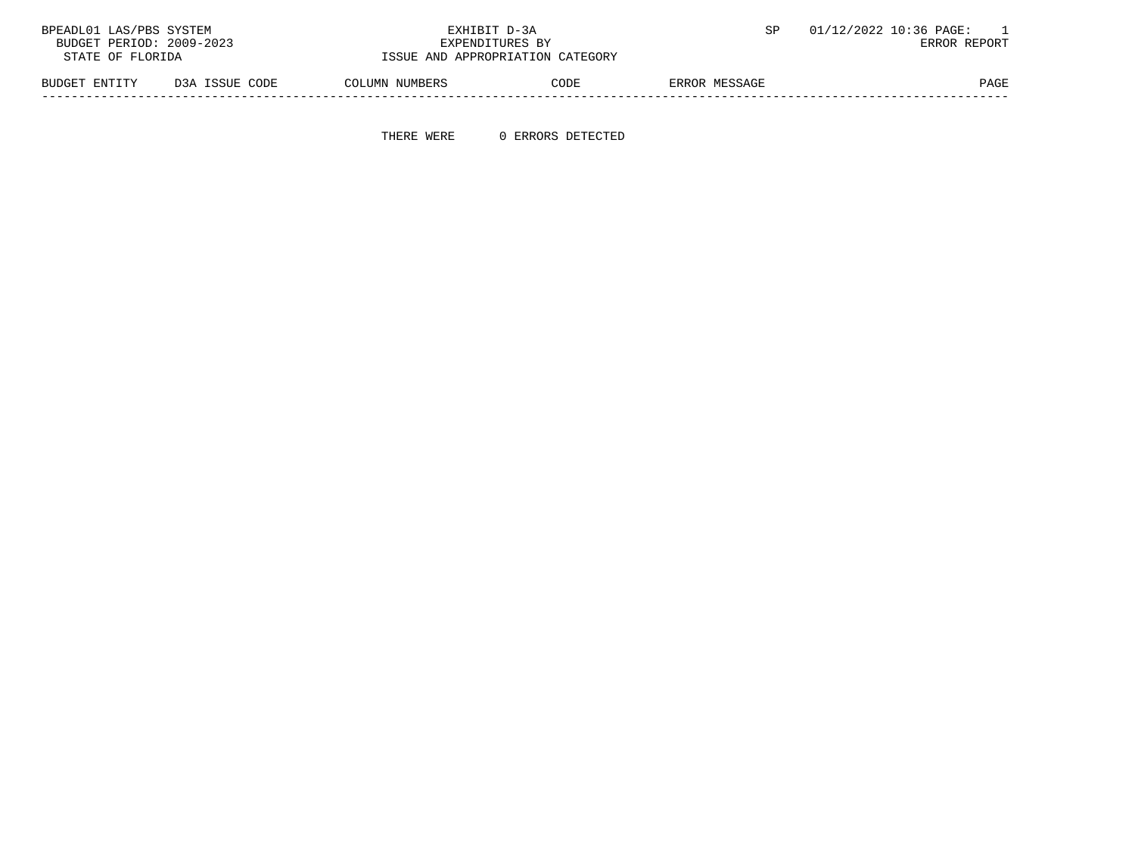| BPEADL01 LAS/PBS SYSTEM                     |                | EXHIBIT D-3A                     |      |               | 01/12/2022 10:36 PAGE: |
|---------------------------------------------|----------------|----------------------------------|------|---------------|------------------------|
| BUDGET PERIOD: 2009-2023<br>EXPENDITURES BY |                |                                  |      |               | ERROR REPORT           |
| STATE OF FLORIDA                            |                | ISSUE AND APPROPRIATION CATEGORY |      |               |                        |
| BUDGET ENTITY                               | D3A ISSUE CODE | COLUMN NUMBERS                   | CODE | ERROR MESSAGE | PAGE                   |

-----------------------------------------------------------------------------------------------------------------------------------

THERE WERE 0 ERRORS DETECTED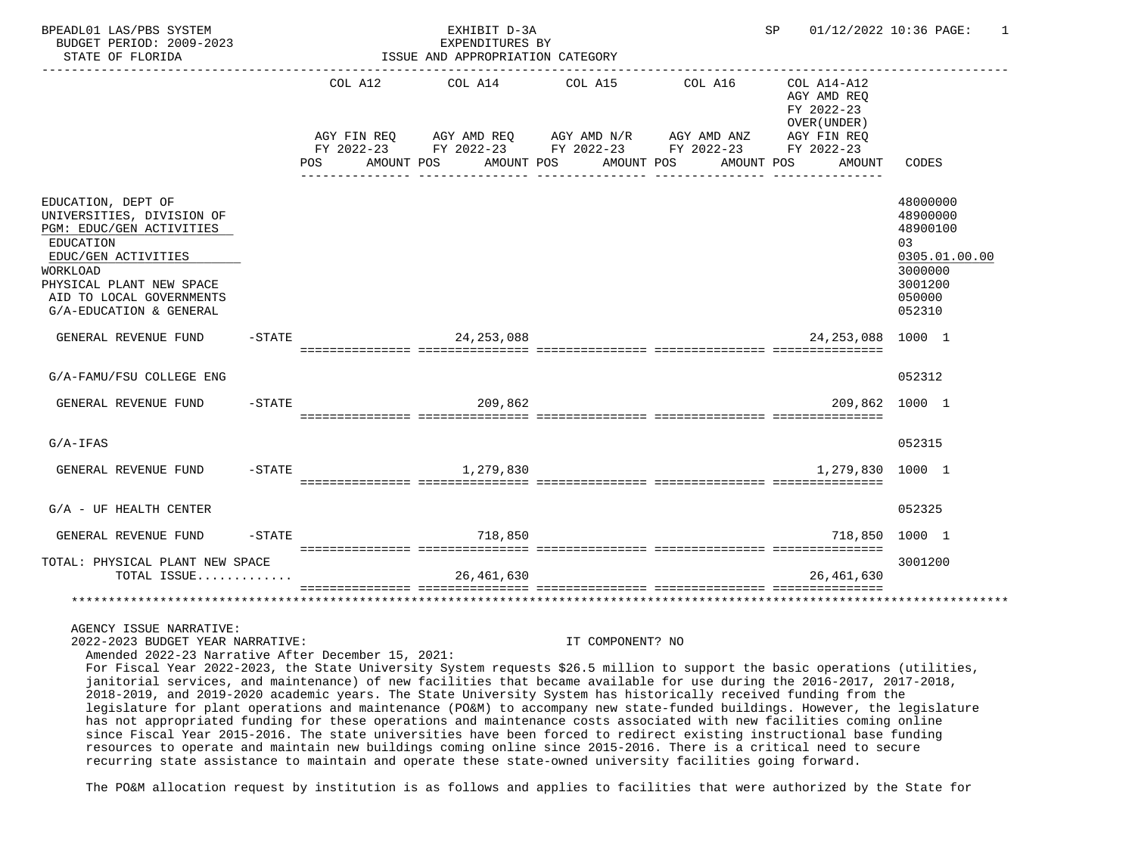| BPEADL01 LAS/PBS SYSTEM<br>BUDGET PERIOD: 2009-2023<br>STATE OF FLORIDA                                                                                                                                                                                                                                                                                                                                                                                                                                                                                                                                                                                                                                                                           |           |                                                                  | EXHIBIT D-3A<br>EXPENDITURES BY<br>ISSUE AND APPROPRIATION CATEGORY |                                                                          |                                                                               | SP.                                                                                             | 01/12/2022 10:36 PAGE:<br>1                                                                        |
|---------------------------------------------------------------------------------------------------------------------------------------------------------------------------------------------------------------------------------------------------------------------------------------------------------------------------------------------------------------------------------------------------------------------------------------------------------------------------------------------------------------------------------------------------------------------------------------------------------------------------------------------------------------------------------------------------------------------------------------------------|-----------|------------------------------------------------------------------|---------------------------------------------------------------------|--------------------------------------------------------------------------|-------------------------------------------------------------------------------|-------------------------------------------------------------------------------------------------|----------------------------------------------------------------------------------------------------|
|                                                                                                                                                                                                                                                                                                                                                                                                                                                                                                                                                                                                                                                                                                                                                   |           | COL A12<br>AGY FIN REQ<br>FY 2022-23<br>AMOUNT POS<br><b>POS</b> | COL A14<br>AGY AMD REQ<br>AMOUNT POS                                | COL A15<br>AGY AMD N/R<br>FY 2022-23 FY 2022-23 FY 2022-23<br>AMOUNT POS | -------------------------------------<br>COL A16<br>AGY AMD ANZ<br>AMOUNT POS | COL A14-A12<br>AGY AMD REO<br>FY 2022-23<br>OVER (UNDER)<br>AGY FIN REQ<br>FY 2022-23<br>AMOUNT | CODES                                                                                              |
| EDUCATION, DEPT OF<br>UNIVERSITIES, DIVISION OF<br>PGM: EDUC/GEN ACTIVITIES<br><b>EDUCATION</b><br>EDUC/GEN ACTIVITIES<br>WORKLOAD<br>PHYSICAL PLANT NEW SPACE<br>AID TO LOCAL GOVERNMENTS<br>G/A-EDUCATION & GENERAL                                                                                                                                                                                                                                                                                                                                                                                                                                                                                                                             |           |                                                                  |                                                                     |                                                                          |                                                                               |                                                                                                 | 48000000<br>48900000<br>48900100<br>0.3<br>0305.01.00.00<br>3000000<br>3001200<br>050000<br>052310 |
| GENERAL REVENUE FUND                                                                                                                                                                                                                                                                                                                                                                                                                                                                                                                                                                                                                                                                                                                              | $-$ STATE |                                                                  | 24, 253, 088                                                        |                                                                          |                                                                               | 24, 253, 088                                                                                    | 1000 1                                                                                             |
| G/A-FAMU/FSU COLLEGE ENG                                                                                                                                                                                                                                                                                                                                                                                                                                                                                                                                                                                                                                                                                                                          |           |                                                                  |                                                                     |                                                                          |                                                                               |                                                                                                 | 052312                                                                                             |
| GENERAL REVENUE FUND                                                                                                                                                                                                                                                                                                                                                                                                                                                                                                                                                                                                                                                                                                                              | $-$ STATE |                                                                  | 209,862                                                             |                                                                          |                                                                               | 209,862                                                                                         | 1000 1                                                                                             |
| $G/A-IFAS$                                                                                                                                                                                                                                                                                                                                                                                                                                                                                                                                                                                                                                                                                                                                        |           |                                                                  |                                                                     |                                                                          |                                                                               |                                                                                                 | 052315                                                                                             |
| GENERAL REVENUE FUND                                                                                                                                                                                                                                                                                                                                                                                                                                                                                                                                                                                                                                                                                                                              | $-$ STATE |                                                                  | 1,279,830                                                           |                                                                          |                                                                               | 1,279,830                                                                                       | 1000 1                                                                                             |
| $G/A$ - UF HEALTH CENTER                                                                                                                                                                                                                                                                                                                                                                                                                                                                                                                                                                                                                                                                                                                          |           |                                                                  |                                                                     |                                                                          |                                                                               |                                                                                                 | 052325                                                                                             |
| GENERAL REVENUE FUND                                                                                                                                                                                                                                                                                                                                                                                                                                                                                                                                                                                                                                                                                                                              | $-$ STATE |                                                                  | 718,850                                                             |                                                                          |                                                                               | 718,850                                                                                         | 1000 1                                                                                             |
| TOTAL: PHYSICAL PLANT NEW SPACE<br>TOTAL ISSUE                                                                                                                                                                                                                                                                                                                                                                                                                                                                                                                                                                                                                                                                                                    |           |                                                                  | 26,461,630                                                          |                                                                          |                                                                               | 26,461,630                                                                                      | 3001200                                                                                            |
|                                                                                                                                                                                                                                                                                                                                                                                                                                                                                                                                                                                                                                                                                                                                                   |           |                                                                  |                                                                     |                                                                          |                                                                               |                                                                                                 |                                                                                                    |
| AGENCY ISSUE NARRATIVE:<br>2022-2023 BUDGET YEAR NARRATIVE:<br>Amended 2022-23 Narrative After December 15, 2021:<br>For Fiscal Year 2022-2023, the State University System requests \$26.5 million to support the basic operations (utilities,<br>janitorial services, and maintenance) of new facilities that became available for use during the 2016-2017, 2017-2018,<br>2018-2019, and 2019-2020 academic years. The State University System has historically received funding from the<br>legislature for plant operations and maintenance (PO&M) to accompany new state-funded buildings. However, the legislature<br>has not appropriated funding for these operations and maintenance costs associated with new facilities coming online |           |                                                                  |                                                                     | IT COMPONENT? NO                                                         |                                                                               |                                                                                                 |                                                                                                    |

 since Fiscal Year 2015-2016. The state universities have been forced to redirect existing instructional base funding resources to operate and maintain new buildings coming online since 2015-2016. There is a critical need to secure recurring state assistance to maintain and operate these state-owned university facilities going forward.

The PO&M allocation request by institution is as follows and applies to facilities that were authorized by the State for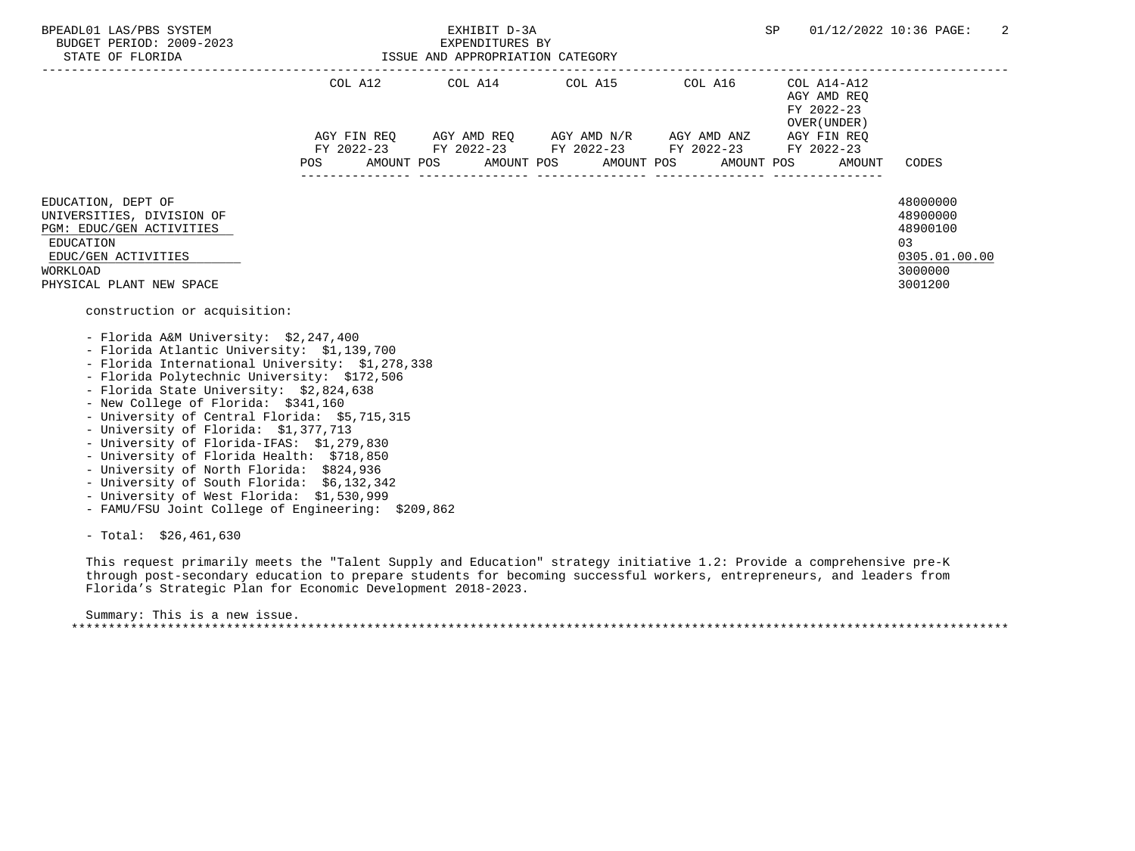| BPEADL01 LAS/PBS SYSTEM<br>BUDGET PERIOD: 2009-2023<br>STATE OF FLORIDA                                                                                                                                                                                                                                                                                                                                                                                                                                                                                                                                                                                                                                                                                                                                                                                  |     | EXHIBIT D-3A<br>EXPENDITURES BY<br>ISSUE AND APPROPRIATION CATEGORY                                                                     |                          |                       | SP                                                                                              | 01/12/2022 10:36 PAGE:<br>2                                                   |
|----------------------------------------------------------------------------------------------------------------------------------------------------------------------------------------------------------------------------------------------------------------------------------------------------------------------------------------------------------------------------------------------------------------------------------------------------------------------------------------------------------------------------------------------------------------------------------------------------------------------------------------------------------------------------------------------------------------------------------------------------------------------------------------------------------------------------------------------------------|-----|-----------------------------------------------------------------------------------------------------------------------------------------|--------------------------|-----------------------|-------------------------------------------------------------------------------------------------|-------------------------------------------------------------------------------|
|                                                                                                                                                                                                                                                                                                                                                                                                                                                                                                                                                                                                                                                                                                                                                                                                                                                          | POS | COL A12 COL A14 COL A15<br>AGY FIN REQ AGY AMD REQ AGY AMD N/R AGY AMD ANZ<br>FY 2022-23 FY 2022-23 FY 2022-23 FY 2022-23<br>AMOUNT POS | AMOUNT POS<br>AMOUNT POS | COL A16<br>AMOUNT POS | COL A14-A12<br>AGY AMD REO<br>FY 2022-23<br>OVER (UNDER)<br>AGY FIN REO<br>FY 2022-23<br>AMOUNT | CODES                                                                         |
| EDUCATION, DEPT OF<br>UNIVERSITIES, DIVISION OF<br>PGM: EDUC/GEN ACTIVITIES<br>EDUCATION<br>EDUC/GEN ACTIVITIES<br><b>WORKLOAD</b><br>PHYSICAL PLANT NEW SPACE<br>construction or acquisition:<br>- Florida A&M University: \$2,247,400<br>- Florida Atlantic University: \$1,139,700<br>- Florida International University: \$1,278,338<br>- Florida Polytechnic University: \$172,506<br>- Florida State University: \$2,824,638<br>- New College of Florida: \$341,160<br>- University of Central Florida: \$5,715,315<br>- University of Florida: \$1,377,713<br>- University of Florida-IFAS: \$1,279,830<br>- University of Florida Health: \$718,850<br>- University of North Florida: \$824,936<br>- University of South Florida: \$6,132,342<br>- University of West Florida: \$1,530,999<br>- FAMU/FSU Joint College of Engineering: \$209,862 |     |                                                                                                                                         |                          |                       |                                                                                                 | 48000000<br>48900000<br>48900100<br>03<br>0305.01.00.00<br>3000000<br>3001200 |

- Total: \$26,461,630

 This request primarily meets the "Talent Supply and Education" strategy initiative 1.2: Provide a comprehensive pre-K through post-secondary education to prepare students for becoming successful workers, entrepreneurs, and leaders from Florida's Strategic Plan for Economic Development 2018-2023.

 Summary: This is a new issue. \*\*\*\*\*\*\*\*\*\*\*\*\*\*\*\*\*\*\*\*\*\*\*\*\*\*\*\*\*\*\*\*\*\*\*\*\*\*\*\*\*\*\*\*\*\*\*\*\*\*\*\*\*\*\*\*\*\*\*\*\*\*\*\*\*\*\*\*\*\*\*\*\*\*\*\*\*\*\*\*\*\*\*\*\*\*\*\*\*\*\*\*\*\*\*\*\*\*\*\*\*\*\*\*\*\*\*\*\*\*\*\*\*\*\*\*\*\*\*\*\*\*\*\*\*\*\*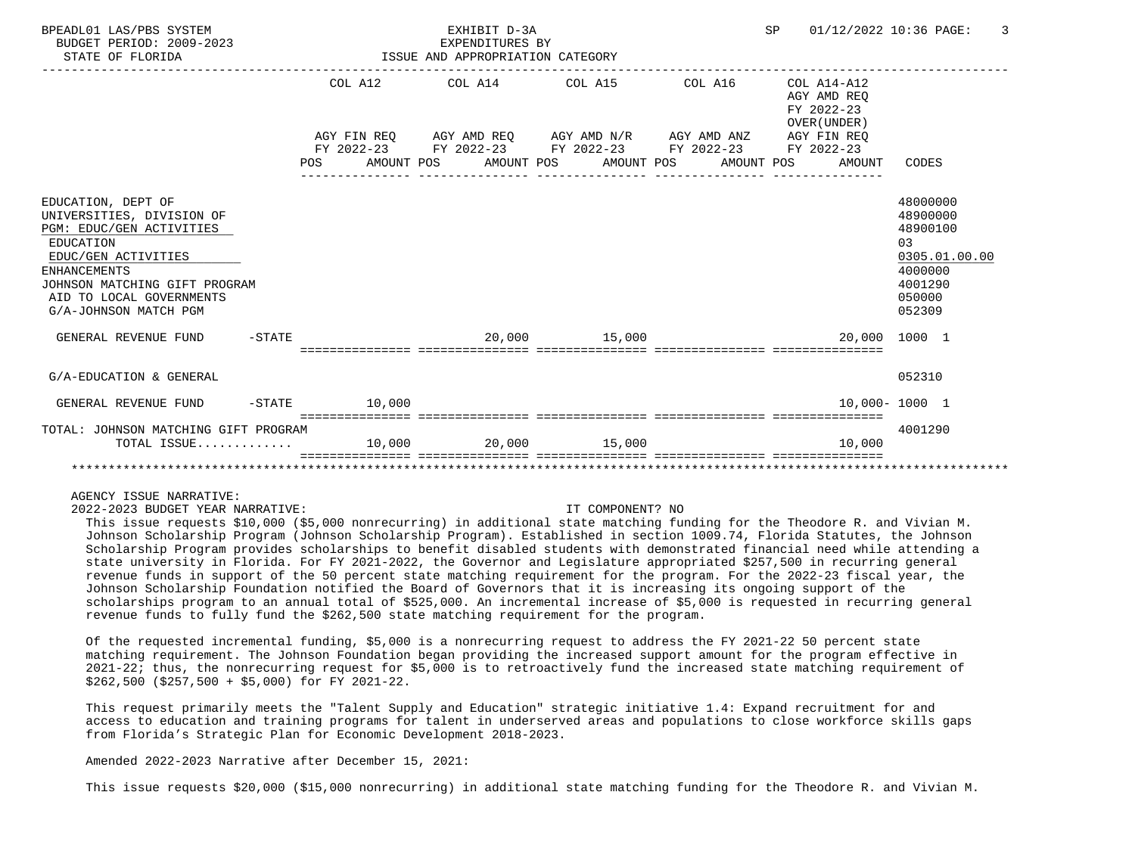| BPEADL01 LAS/PBS SYSTEM<br>BUDGET PERIOD: 2009-2023<br>STATE OF FLORIDA                                                                                                                                                      |           | EXHIBIT D-3A<br>EXPENDITURES BY<br>ISSUE AND APPROPRIATION CATEGORY |                 |  |  |  |                                                                                                                                                                          | SP | 01/12/2022 10:36 PAGE: |                                                              | 3                                                                                |               |
|------------------------------------------------------------------------------------------------------------------------------------------------------------------------------------------------------------------------------|-----------|---------------------------------------------------------------------|-----------------|--|--|--|--------------------------------------------------------------------------------------------------------------------------------------------------------------------------|----|------------------------|--------------------------------------------------------------|----------------------------------------------------------------------------------|---------------|
|                                                                                                                                                                                                                              |           |                                                                     |                 |  |  |  | COL A12 COL A14 COL A15 COL A16                                                                                                                                          |    |                        | $COL A14 - A12$<br>AGY AMD REO<br>FY 2022-23<br>OVER (UNDER) |                                                                                  |               |
|                                                                                                                                                                                                                              |           |                                                                     |                 |  |  |  | AGY FIN REO AGY AMD REO AGY AMD N/R AGY AMD ANZ AGY FIN REO<br>FY 2022-23 FY 2022-23 FY 2022-23 FY 2022-23 FY 2022-23<br>POS AMOUNT POS AMOUNT POS AMOUNT POS AMOUNT POS |    |                        | AMOUNT                                                       | CODES                                                                            |               |
| EDUCATION, DEPT OF<br>UNIVERSITIES, DIVISION OF<br>PGM: EDUC/GEN ACTIVITIES<br>EDUCATION<br>EDUC/GEN ACTIVITIES<br><b>ENHANCEMENTS</b><br>JOHNSON MATCHING GIFT PROGRAM<br>AID TO LOCAL GOVERNMENTS<br>G/A-JOHNSON MATCH PGM |           |                                                                     |                 |  |  |  |                                                                                                                                                                          |    |                        |                                                              | 48000000<br>48900000<br>48900100<br>03<br>4000000<br>4001290<br>050000<br>052309 | 0305.01.00.00 |
| GENERAL REVENUE FUND                                                                                                                                                                                                         | $-$ STATE |                                                                     |                 |  |  |  | 20,000 15,000<br>===============================                                                                                                                         |    |                        |                                                              | 20,000 1000 1                                                                    |               |
| G/A-EDUCATION & GENERAL                                                                                                                                                                                                      |           |                                                                     |                 |  |  |  |                                                                                                                                                                          |    |                        |                                                              | 052310                                                                           |               |
| GENERAL REVENUE FUND                                                                                                                                                                                                         |           |                                                                     | $-STATE$ 10,000 |  |  |  |                                                                                                                                                                          |    |                        |                                                              | $10.000 - 1000$ 1                                                                |               |
| TOTAL: JOHNSON MATCHING GIFT PROGRAM<br>TOTAL ISSUE 10,000 20,000 15,000                                                                                                                                                     |           |                                                                     |                 |  |  |  |                                                                                                                                                                          |    |                        | 10,000                                                       | 4001290                                                                          |               |
|                                                                                                                                                                                                                              |           |                                                                     |                 |  |  |  |                                                                                                                                                                          |    |                        |                                                              |                                                                                  |               |

## AGENCY ISSUE NARRATIVE:

2022-2023 BUDGET YEAR NARRATIVE: IT COMPONENT? NO

 This issue requests \$10,000 (\$5,000 nonrecurring) in additional state matching funding for the Theodore R. and Vivian M. Johnson Scholarship Program (Johnson Scholarship Program). Established in section 1009.74, Florida Statutes, the Johnson Scholarship Program provides scholarships to benefit disabled students with demonstrated financial need while attending a state university in Florida. For FY 2021-2022, the Governor and Legislature appropriated \$257,500 in recurring general revenue funds in support of the 50 percent state matching requirement for the program. For the 2022-23 fiscal year, the Johnson Scholarship Foundation notified the Board of Governors that it is increasing its ongoing support of the scholarships program to an annual total of \$525,000. An incremental increase of \$5,000 is requested in recurring general revenue funds to fully fund the \$262,500 state matching requirement for the program.

 Of the requested incremental funding, \$5,000 is a nonrecurring request to address the FY 2021-22 50 percent state matching requirement. The Johnson Foundation began providing the increased support amount for the program effective in 2021-22; thus, the nonrecurring request for \$5,000 is to retroactively fund the increased state matching requirement of \$262,500 (\$257,500 + \$5,000) for FY 2021-22.

 This request primarily meets the "Talent Supply and Education" strategic initiative 1.4: Expand recruitment for and access to education and training programs for talent in underserved areas and populations to close workforce skills gaps from Florida's Strategic Plan for Economic Development 2018-2023.

Amended 2022-2023 Narrative after December 15, 2021:

This issue requests \$20,000 (\$15,000 nonrecurring) in additional state matching funding for the Theodore R. and Vivian M.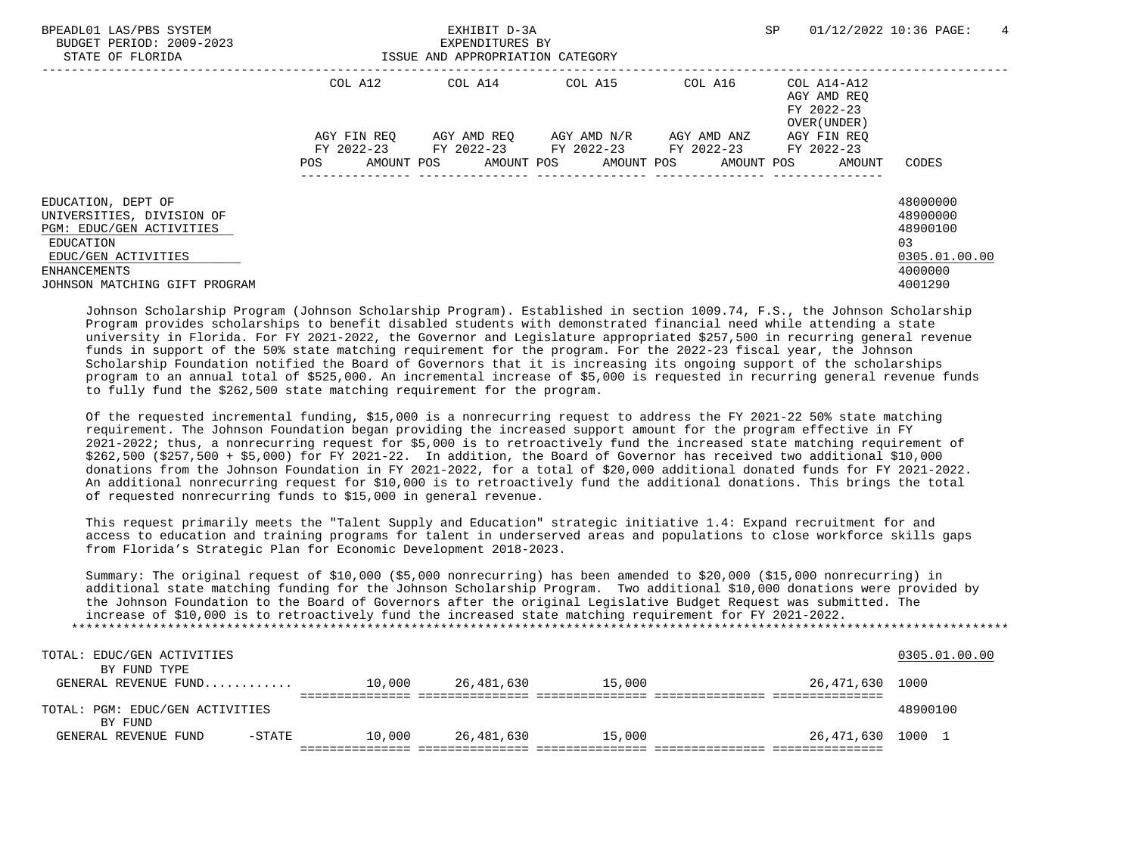| BPEADL01 LAS/PBS SYSTEM<br>BUDGET PERIOD: 2009-2023<br>STATE OF FLORIDA                                         |                    | EXHIBIT D-3A<br>EXPENDITURES BY<br>ISSUE AND APPROPRIATION CATEGORY |                                                 |                                                                                            | SP                                                       | $\overline{4}$<br>01/12/2022 10:36 PAGE:                |
|-----------------------------------------------------------------------------------------------------------------|--------------------|---------------------------------------------------------------------|-------------------------------------------------|--------------------------------------------------------------------------------------------|----------------------------------------------------------|---------------------------------------------------------|
|                                                                                                                 | COL A12            |                                                                     | COL A14 COL A15                                 | COL A16                                                                                    | COL A14-A12<br>AGY AMD REO<br>FY 2022-23<br>OVER (UNDER) |                                                         |
|                                                                                                                 | AGY FIN REO<br>POS |                                                                     | AGY AMD REQ       AGY AMD N/R       AGY AMD ANZ | FY 2022-23 FY 2022-23 FY 2022-23 FY 2022-23<br>AMOUNT POS AMOUNT POS AMOUNT POS AMOUNT POS | AGY FIN REO<br>FY 2022-23<br>AMOUNT                      | CODES                                                   |
| EDUCATION, DEPT OF<br>UNIVERSITIES, DIVISION OF<br>PGM: EDUC/GEN ACTIVITIES<br>EDUCATION<br>EDUC/GEN ACTIVITIES |                    |                                                                     |                                                 |                                                                                            |                                                          | 48000000<br>48900000<br>48900100<br>03<br>0305.01.00.00 |
| ENHANCEMENTS<br>JOHNSON MATCHING GIFT PROGRAM                                                                   |                    |                                                                     |                                                 |                                                                                            |                                                          | 4000000<br>4001290                                      |

 Johnson Scholarship Program (Johnson Scholarship Program). Established in section 1009.74, F.S., the Johnson Scholarship Program provides scholarships to benefit disabled students with demonstrated financial need while attending a state university in Florida. For FY 2021-2022, the Governor and Legislature appropriated \$257,500 in recurring general revenue funds in support of the 50% state matching requirement for the program. For the 2022-23 fiscal year, the Johnson Scholarship Foundation notified the Board of Governors that it is increasing its ongoing support of the scholarships program to an annual total of \$525,000. An incremental increase of \$5,000 is requested in recurring general revenue funds to fully fund the \$262,500 state matching requirement for the program.

 Of the requested incremental funding, \$15,000 is a nonrecurring request to address the FY 2021-22 50% state matching requirement. The Johnson Foundation began providing the increased support amount for the program effective in FY 2021-2022; thus, a nonrecurring request for \$5,000 is to retroactively fund the increased state matching requirement of \$262,500 (\$257,500 + \$5,000) for FY 2021-22. In addition, the Board of Governor has received two additional \$10,000 donations from the Johnson Foundation in FY 2021-2022, for a total of \$20,000 additional donated funds for FY 2021-2022. An additional nonrecurring request for \$10,000 is to retroactively fund the additional donations. This brings the total of requested nonrecurring funds to \$15,000 in general revenue.

 This request primarily meets the "Talent Supply and Education" strategic initiative 1.4: Expand recruitment for and access to education and training programs for talent in underserved areas and populations to close workforce skills gaps from Florida's Strategic Plan for Economic Development 2018-2023.

 Summary: The original request of \$10,000 (\$5,000 nonrecurring) has been amended to \$20,000 (\$15,000 nonrecurring) in additional state matching funding for the Johnson Scholarship Program. Two additional \$10,000 donations were provided by the Johnson Foundation to the Board of Governors after the original Legislative Budget Request was submitted. The increase of \$10,000 is to retroactively fund the increased state matching requirement for FY 2021-2022. \*\*\*\*\*\*\*\*\*\*\*\*\*\*\*\*\*\*\*\*\*\*\*\*\*\*\*\*\*\*\*\*\*\*\*\*\*\*\*\*\*\*\*\*\*\*\*\*\*\*\*\*\*\*\*\*\*\*\*\*\*\*\*\*\*\*\*\*\*\*\*\*\*\*\*\*\*\*\*\*\*\*\*\*\*\*\*\*\*\*\*\*\*\*\*\*\*\*\*\*\*\*\*\*\*\*\*\*\*\*\*\*\*\*\*\*\*\*\*\*\*\*\*\*\*\*\*

| TOTAL: EDUC/GEN ACTIVITIES      |          |        |            |        |                   | 0305.01.00.00 |
|---------------------------------|----------|--------|------------|--------|-------------------|---------------|
| BY FUND TYPE                    |          |        |            |        |                   |               |
| GENERAL REVENUE FUND            |          | 10,000 | 26,481,630 | 15,000 | 26,471,630        | 1000          |
|                                 |          |        |            |        |                   |               |
| TOTAL: PGM: EDUC/GEN ACTIVITIES |          |        |            |        |                   | 48900100      |
| BY FUND                         |          |        |            |        |                   |               |
| GENERAL REVENUE FUND            | $-STATE$ | 10,000 | 26,481,630 | 15,000 | 26,471,630 1000 1 |               |
|                                 |          |        |            |        |                   |               |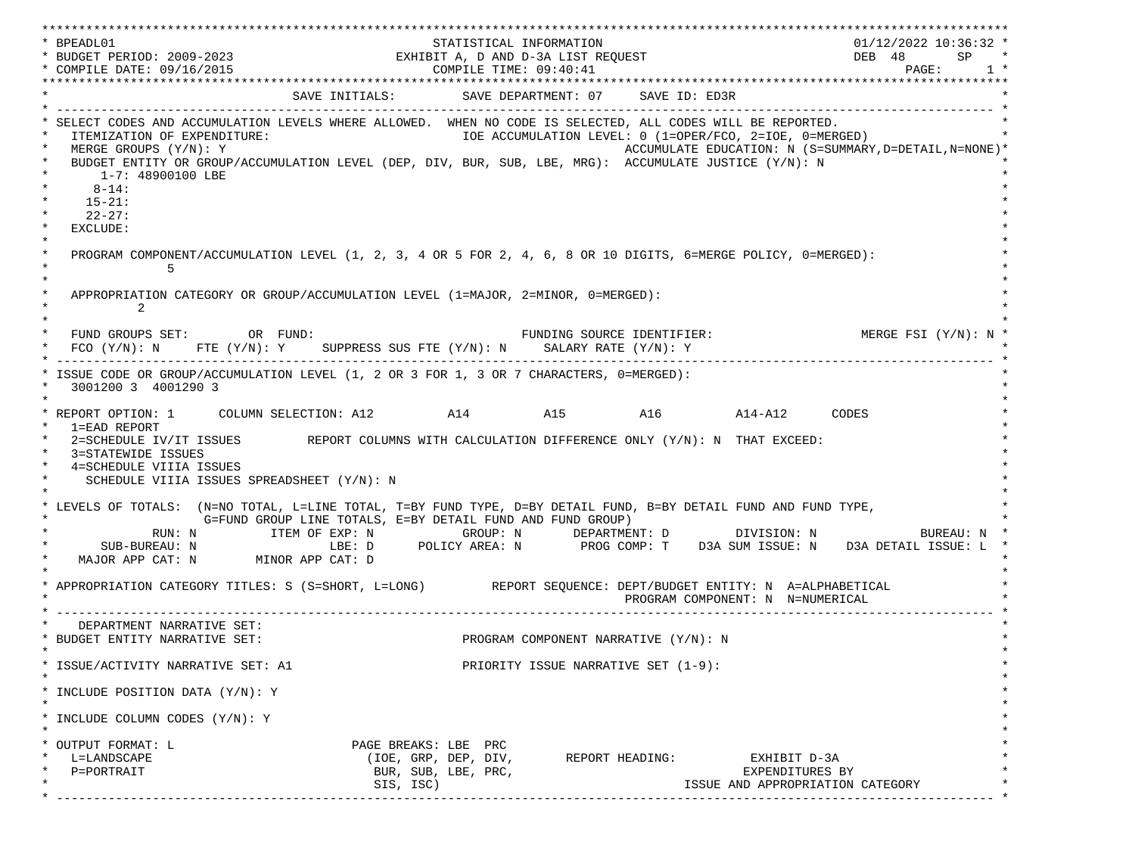| * BPEADL01                                                                                                                                                                                                                                                                                                                                                                  |                                                            | STATISTICAL INFORMATION                     |                                      |                                                                                                                   | 01/12/2022 10:36:32 *                      |
|-----------------------------------------------------------------------------------------------------------------------------------------------------------------------------------------------------------------------------------------------------------------------------------------------------------------------------------------------------------------------------|------------------------------------------------------------|---------------------------------------------|--------------------------------------|-------------------------------------------------------------------------------------------------------------------|--------------------------------------------|
| EXHIBIT A, D AND D-3A LIST REQUEST<br>* BUDGET PERIOD: 2009-2023<br>* COMPILE DATE: 09/16/2015<br>* COMPILE TIME: 09:40:41                                                                                                                                                                                                                                                  |                                                            |                                             |                                      |                                                                                                                   | DEB 48<br>SP<br>$\mathtt{PAGE}$ :<br>$1 *$ |
| *****************                                                                                                                                                                                                                                                                                                                                                           |                                                            | ********************                        |                                      |                                                                                                                   |                                            |
|                                                                                                                                                                                                                                                                                                                                                                             | SAVE INITIALS: SAVE DEPARTMENT: 07 SAVE ID: ED3R           |                                             |                                      |                                                                                                                   | _________________                          |
| SELECT CODES AND ACCUMULATION LEVELS WHERE ALLOWED. WHEN NO CODE IS SELECTED. ALL CODES WILL BE REPORTED.<br>ITEMIZATION OF EXPENDITURE:<br>MERGE GROUPS (Y/N): Y<br>BUDGET ENTITY OR GROUP/ACCUMULATION LEVEL (DEP, DIV, BUR, SUB, LBE, MRG): ACCUMULATE JUSTICE (Y/N): N<br>$\star$<br>1-7: 48900100 LBE<br>$8 - 14$ :<br>$\star$<br>$15 - 21:$<br>$22 - 27:$<br>EXCLUDE: |                                                            |                                             |                                      | IOE ACCUMULATION LEVEL: 0 (1=OPER/FCO, 2=IOE, 0=MERGED)<br>ACCUMULATE EDUCATION: N (S=SUMMARY, D=DETAIL, N=NONE)* |                                            |
| $\ast$<br>$\star$<br>PROGRAM COMPONENT/ACCUMULATION LEVEL (1, 2, 3, 4 OR 5 FOR 2, 4, 6, 8 OR 10 DIGITS, 6=MERGE POLICY, 0=MERGED):<br>5                                                                                                                                                                                                                                     |                                                            |                                             |                                      |                                                                                                                   |                                            |
| APPROPRIATION CATEGORY OR GROUP/ACCUMULATION LEVEL (1=MAJOR, 2=MINOR, 0=MERGED):<br>2                                                                                                                                                                                                                                                                                       |                                                            |                                             |                                      |                                                                                                                   |                                            |
| FUND GROUPS SET: OR FUND:<br>FCO $(Y/N): N$ FTE $(Y/N): Y$ SUPPRESS SUS FTE $(Y/N): N$ SALARY RATE $(Y/N): Y$                                                                                                                                                                                                                                                               |                                                            |                                             |                                      | FUNDING SOURCE IDENTIFIER: THE MERGE FSI (Y/N): N *                                                               |                                            |
| ISSUE CODE OR GROUP/ACCUMULATION LEVEL (1, 2 OR 3 FOR 1, 3 OR 7 CHARACTERS, 0=MERGED):<br>3001200 3 4001290 3                                                                                                                                                                                                                                                               |                                                            |                                             |                                      |                                                                                                                   |                                            |
| * REPORT OPTION: 1 COLUMN SELECTION: A12 114 A15 A16 A14-A12 CODES<br>1=EAD REPORT<br>2=SCHEDULE IV/IT ISSUES REPORT COLUMNS WITH CALCULATION DIFFERENCE ONLY (Y/N): N THAT EXCEED:<br>3=STATEWIDE ISSUES<br>4=SCHEDULE VIIIA ISSUES<br>$\ast$<br>SCHEDULE VIIIA ISSUES SPREADSHEET (Y/N): N                                                                                |                                                            |                                             |                                      |                                                                                                                   |                                            |
| * LEVELS OF TOTALS: (N=NO TOTAL, L=LINE TOTAL, T=BY FUND TYPE, D=BY DETAIL FUND, B=BY DETAIL FUND AND FUND TYPE,<br>SUB-BUREAU: N LEE: D POLICY AREA: N PROG COMP: T D3A SUM ISSUE: N D3A DETAIL ISSUE: L<br>MAJOR APP CAT: N MINOR APP CAT: D                                                                                                                              | G=FUND GROUP LINE TOTALS, E=BY DETAIL FUND AND FUND GROUP) |                                             |                                      | RUN: N              ITEM OF EXP: N                GROUP: N             DEPARTMENT: D                 DIVISION: N  | BUREAU: N                                  |
| * APPROPRIATION CATEGORY TITLES: S (S=SHORT, L=LONG) REPORT SEQUENCE: DEPT/BUDGET ENTITY: N A=ALPHABETICAL                                                                                                                                                                                                                                                                  |                                                            |                                             |                                      | PROGRAM COMPONENT: N N=NUMERICAL                                                                                  |                                            |
| DEPARTMENT NARRATIVE SET:<br>* BUDGET ENTITY NARRATIVE SET:<br>$\star$                                                                                                                                                                                                                                                                                                      |                                                            |                                             | PROGRAM COMPONENT NARRATIVE (Y/N): N |                                                                                                                   |                                            |
| * ISSUE/ACTIVITY NARRATIVE SET: A1                                                                                                                                                                                                                                                                                                                                          |                                                            |                                             | PRIORITY ISSUE NARRATIVE SET (1-9):  |                                                                                                                   |                                            |
| $\star$<br>* INCLUDE POSITION DATA (Y/N): Y<br>$\star$                                                                                                                                                                                                                                                                                                                      |                                                            |                                             |                                      |                                                                                                                   |                                            |
| * INCLUDE COLUMN CODES (Y/N): Y<br>$\star$                                                                                                                                                                                                                                                                                                                                  |                                                            |                                             |                                      |                                                                                                                   |                                            |
| OUTPUT FORMAT: L<br>L=LANDSCAPE<br>$\ast$<br>P=PORTRAIT                                                                                                                                                                                                                                                                                                                     | PAGE BREAKS: LBE PRC<br>SIS, ISC)                          | (IOE, GRP, DEP, DIV,<br>BUR, SUB, LBE, PRC, | REPORT HEADING:                      | EXHIBIT D-3A<br>EXPENDITURES BY<br>ISSUE AND APPROPRIATION CATEGORY                                               |                                            |